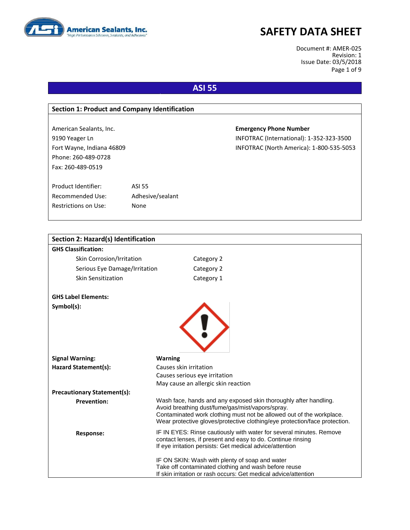

Document #: AMER-025 Revision: 1 Issue Date: 03/5/2018 Page 1 of 9

### **ASI 55**

| <b>Section 1: Product and Company Identification</b> |                  |                                          |
|------------------------------------------------------|------------------|------------------------------------------|
|                                                      |                  |                                          |
| American Sealants, Inc.                              |                  | <b>Emergency Phone Number</b>            |
| 9190 Yeager Ln                                       |                  | INFOTRAC (International): 1-352-323-3500 |
| Fort Wayne, Indiana 46809                            |                  | INFOTRAC (North America): 1-800-535-5053 |
| Phone: 260-489-0728                                  |                  |                                          |
| Fax: 260-489-0519                                    |                  |                                          |
|                                                      |                  |                                          |
| Product Identifier:                                  | <b>ASI 55</b>    |                                          |
| Recommended Use:                                     | Adhesive/sealant |                                          |
| Restrictions on Use:                                 | <b>None</b>      |                                          |
|                                                      |                  |                                          |

| <b>Section 2: Hazard(s) Identification</b> |                                                                                                                          |  |
|--------------------------------------------|--------------------------------------------------------------------------------------------------------------------------|--|
| <b>GHS Classification:</b>                 |                                                                                                                          |  |
| Skin Corrosion/Irritation                  | Category 2                                                                                                               |  |
| Serious Eye Damage/Irritation              | Category 2                                                                                                               |  |
| Skin Sensitization                         | Category 1                                                                                                               |  |
| <b>GHS Label Elements:</b>                 |                                                                                                                          |  |
| Symbol(s):                                 |                                                                                                                          |  |
|                                            |                                                                                                                          |  |
|                                            |                                                                                                                          |  |
|                                            |                                                                                                                          |  |
|                                            |                                                                                                                          |  |
| <b>Signal Warning:</b>                     | <b>Warning</b>                                                                                                           |  |
| Hazard Statement(s):                       | Causes skin irritation                                                                                                   |  |
|                                            | Causes serious eye irritation                                                                                            |  |
|                                            | May cause an allergic skin reaction                                                                                      |  |
| <b>Precautionary Statement(s):</b>         |                                                                                                                          |  |
| <b>Prevention:</b>                         | Wash face, hands and any exposed skin thoroughly after handling.                                                         |  |
|                                            | Avoid breathing dust/fume/gas/mist/vapors/spray.<br>Contaminated work clothing must not be allowed out of the workplace. |  |
|                                            | Wear protective gloves/protective clothing/eye protection/face protection.                                               |  |
| <b>Response:</b>                           | IF IN EYES: Rinse cautiously with water for several minutes. Remove                                                      |  |
|                                            | contact lenses, if present and easy to do. Continue rinsing                                                              |  |
|                                            | If eye irritation persists: Get medical advice/attention                                                                 |  |
|                                            | IF ON SKIN: Wash with plenty of soap and water                                                                           |  |
|                                            | Take off contaminated clothing and wash before reuse                                                                     |  |
|                                            | If skin irritation or rash occurs: Get medical advice/attention                                                          |  |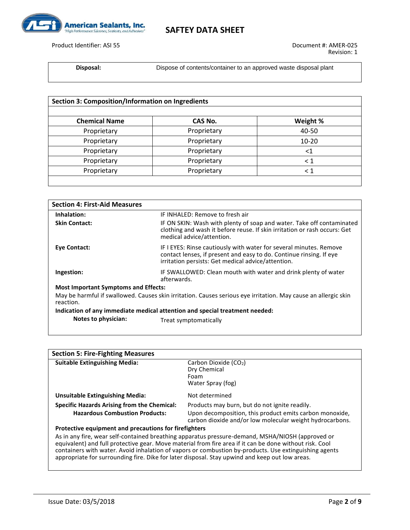

Product Identifier: ASI 55 Document #: AMER-025

**Disposal:** Dispose of contents/container to an approved waste disposal plant

| <b>Section 3: Composition/Information on Ingredients</b> |             |          |
|----------------------------------------------------------|-------------|----------|
| <b>Chemical Name</b>                                     | CAS No.     | Weight % |
| Proprietary                                              | Proprietary | 40-50    |
| Proprietary                                              | Proprietary | 10-20    |
| Proprietary                                              | Proprietary | ${<}1$   |
| Proprietary                                              | Proprietary | $\leq 1$ |
| Proprietary                                              | Proprietary | $\leq 1$ |

| <b>Section 4: First-Aid Measures</b>                                        |                                                                                                                                                                                                 |  |
|-----------------------------------------------------------------------------|-------------------------------------------------------------------------------------------------------------------------------------------------------------------------------------------------|--|
| Inhalation:                                                                 | IF INHALED: Remove to fresh air                                                                                                                                                                 |  |
| <b>Skin Contact:</b>                                                        | IF ON SKIN: Wash with plenty of soap and water. Take off contaminated<br>clothing and wash it before reuse. If skin irritation or rash occurs: Get<br>medical advice/attention.                 |  |
| Eye Contact:                                                                | IF I EYES: Rinse cautiously with water for several minutes. Remove<br>contact lenses, if present and easy to do. Continue rinsing. If eye<br>irritation persists: Get medical advice/attention. |  |
| Ingestion:                                                                  | IF SWALLOWED: Clean mouth with water and drink plenty of water<br>afterwards.                                                                                                                   |  |
| <b>Most Important Symptoms and Effects:</b>                                 |                                                                                                                                                                                                 |  |
| reaction.                                                                   | May be harmful if swallowed. Causes skin irritation. Causes serious eye irritation. May cause an allergic skin                                                                                  |  |
| Indication of any immediate medical attention and special treatment needed: |                                                                                                                                                                                                 |  |
| Notes to physician:                                                         | Treat symptomatically                                                                                                                                                                           |  |

| <b>Section 5: Fire-Fighting Measures</b>              |                                                                                                                                                                                                                                                                                                                                                                                                                        |  |
|-------------------------------------------------------|------------------------------------------------------------------------------------------------------------------------------------------------------------------------------------------------------------------------------------------------------------------------------------------------------------------------------------------------------------------------------------------------------------------------|--|
| <b>Suitable Extinguishing Media:</b>                  | Carbon Dioxide (CO2)                                                                                                                                                                                                                                                                                                                                                                                                   |  |
|                                                       | Dry Chemical                                                                                                                                                                                                                                                                                                                                                                                                           |  |
|                                                       | Foam                                                                                                                                                                                                                                                                                                                                                                                                                   |  |
|                                                       | Water Spray (fog)                                                                                                                                                                                                                                                                                                                                                                                                      |  |
| <b>Unsuitable Extinguishing Media:</b>                | Not determined                                                                                                                                                                                                                                                                                                                                                                                                         |  |
| <b>Specific Hazards Arising from the Chemical:</b>    | Products may burn, but do not ignite readily.                                                                                                                                                                                                                                                                                                                                                                          |  |
| <b>Hazardous Combustion Products:</b>                 | Upon decomposition, this product emits carbon monoxide,<br>carbon dioxide and/or low molecular weight hydrocarbons.                                                                                                                                                                                                                                                                                                    |  |
| Protective equipment and precautions for firefighters |                                                                                                                                                                                                                                                                                                                                                                                                                        |  |
|                                                       | As in any fire, wear self-contained breathing apparatus pressure-demand, MSHA/NIOSH (approved or<br>equivalent) and full protective gear. Move material from fire area if it can be done without risk. Cool<br>containers with water. Avoid inhalation of vapors or combustion by-products. Use extinguishing agents<br>appropriate for surrounding fire. Dike for later disposal. Stay upwind and keep out low areas. |  |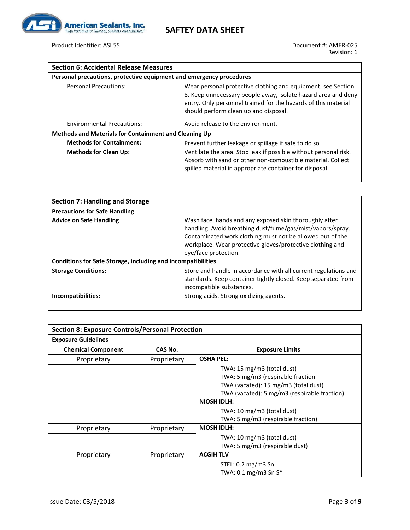

Product Identifier: ASI 55 Document #: AMER-025

| <b>Section 6: Accidental Release Measures</b>                       |                                                                                                                                                                                                                                          |
|---------------------------------------------------------------------|------------------------------------------------------------------------------------------------------------------------------------------------------------------------------------------------------------------------------------------|
| Personal precautions, protective equipment and emergency procedures |                                                                                                                                                                                                                                          |
| <b>Personal Precautions:</b>                                        | Wear personal protective clothing and equipment, see Section<br>8. Keep unnecessary people away, isolate hazard area and deny<br>entry. Only personnel trained for the hazards of this material<br>should perform clean up and disposal. |
| <b>Environmental Precautions:</b>                                   | Avoid release to the environment.                                                                                                                                                                                                        |
| <b>Methods and Materials for Containment and Cleaning Up</b>        |                                                                                                                                                                                                                                          |
| <b>Methods for Containment:</b>                                     | Prevent further leakage or spillage if safe to do so.                                                                                                                                                                                    |
| <b>Methods for Clean Up:</b>                                        | Ventilate the area. Stop leak if possible without personal risk.<br>Absorb with sand or other non-combustible material. Collect<br>spilled material in appropriate container for disposal.                                               |

| <b>Section 7: Handling and Storage</b>                                                                |                                                                                                                                                                                                                                                                        |
|-------------------------------------------------------------------------------------------------------|------------------------------------------------------------------------------------------------------------------------------------------------------------------------------------------------------------------------------------------------------------------------|
| <b>Precautions for Safe Handling</b>                                                                  |                                                                                                                                                                                                                                                                        |
| <b>Advice on Safe Handling</b><br><b>Conditions for Safe Storage, including and incompatibilities</b> | Wash face, hands and any exposed skin thoroughly after<br>handling. Avoid breathing dust/fume/gas/mist/vapors/spray.<br>Contaminated work clothing must not be allowed out of the<br>workplace. Wear protective gloves/protective clothing and<br>eye/face protection. |
| <b>Storage Conditions:</b>                                                                            | Store and handle in accordance with all current regulations and<br>standards. Keep container tightly closed. Keep separated from<br>incompatible substances.                                                                                                           |
| Incompatibilities:                                                                                    | Strong acids. Strong oxidizing agents.                                                                                                                                                                                                                                 |

| <b>Section 8: Exposure Controls/Personal Protection</b> |             |                                              |
|---------------------------------------------------------|-------------|----------------------------------------------|
| <b>Exposure Guidelines</b>                              |             |                                              |
| <b>Chemical Component</b>                               | CAS No.     | <b>Exposure Limits</b>                       |
| Proprietary                                             | Proprietary | <b>OSHA PEL:</b>                             |
|                                                         |             | TWA: 15 mg/m3 (total dust)                   |
|                                                         |             | TWA: 5 mg/m3 (respirable fraction            |
|                                                         |             | TWA (vacated): 15 mg/m3 (total dust)         |
|                                                         |             | TWA (vacated): 5 mg/m3 (respirable fraction) |
|                                                         |             | <b>NIOSH IDLH:</b>                           |
|                                                         |             | TWA: 10 mg/m3 (total dust)                   |
|                                                         |             | TWA: 5 mg/m3 (respirable fraction)           |
| Proprietary                                             | Proprietary | <b>NIOSH IDLH:</b>                           |
|                                                         |             | TWA: 10 mg/m3 (total dust)                   |
|                                                         |             | TWA: 5 mg/m3 (respirable dust)               |
| Proprietary                                             | Proprietary | <b>ACGIH TLV</b>                             |
|                                                         |             | STEL: $0.2 \text{ mg}/\text{m}3$ Sn          |
|                                                         |             | TWA: 0.1 mg/m3 Sn S*                         |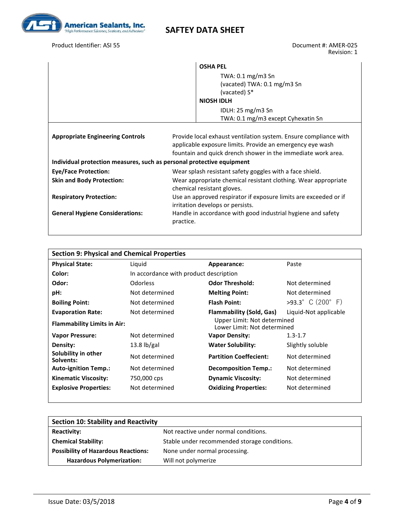

### Product Identifier: ASI 55 **Document #: AMER-025**

Revision: 1

|                                                                       | <b>OSHA PEL</b><br>TWA: $0.1 \text{ mg/m}$ 3 Sn<br>(vacated) TWA: 0.1 mg/m3 Sn<br>(vacated) S*<br><b>NIOSH IDLH</b><br>IDLH: $25 \text{ mg/m}$ 3 Sn<br>TWA: 0.1 mg/m3 except Cyhexatin Sn     |  |
|-----------------------------------------------------------------------|-----------------------------------------------------------------------------------------------------------------------------------------------------------------------------------------------|--|
| <b>Appropriate Engineering Controls</b>                               | Provide local exhaust ventilation system. Ensure compliance with<br>applicable exposure limits. Provide an emergency eye wash<br>fountain and quick drench shower in the immediate work area. |  |
| Individual protection measures, such as personal protective equipment |                                                                                                                                                                                               |  |
| <b>Eye/Face Protection:</b>                                           | Wear splash resistant safety goggles with a face shield.                                                                                                                                      |  |
| <b>Skin and Body Protection:</b>                                      | Wear appropriate chemical resistant clothing. Wear appropriate<br>chemical resistant gloves.                                                                                                  |  |
| <b>Respiratory Protection:</b>                                        | Use an approved respirator if exposure limits are exceeded or if<br>irritation develops or persists.                                                                                          |  |
| <b>General Hygiene Considerations:</b>                                | Handle in accordance with good industrial hygiene and safety<br>practice.                                                                                                                     |  |

| <b>Section 9: Physical and Chemical Properties</b> |                                        |                                                            |                            |
|----------------------------------------------------|----------------------------------------|------------------------------------------------------------|----------------------------|
| <b>Physical State:</b>                             | Liquid                                 | Appearance:                                                | Paste                      |
| Color:                                             | In accordance with product description |                                                            |                            |
| Odor:                                              | <b>Odorless</b>                        | <b>Odor Threshold:</b>                                     | Not determined             |
| pH:                                                | Not determined                         | <b>Melting Point:</b>                                      | Not determined             |
| <b>Boiling Point:</b>                              | Not determined                         | <b>Flash Point:</b>                                        | $>93.3^{\circ}$ C (200° F) |
| <b>Evaporation Rate:</b>                           | Not determined                         | <b>Flammability (Sold, Gas)</b>                            | Liquid-Not applicable      |
| <b>Flammability Limits in Air:</b>                 |                                        | Upper Limit: Not determined<br>Lower Limit: Not determined |                            |
| <b>Vapor Pressure:</b>                             | Not determined                         | <b>Vapor Density:</b>                                      | $1.3 - 1.7$                |
| Density:                                           | $13.8$ lb/gal                          | <b>Water Solubility:</b>                                   | Slightly soluble           |
| Solubility in other<br>Solvents:                   | Not determined                         | <b>Partition Coeffecient:</b>                              | Not determined             |
| <b>Auto-ignition Temp.:</b>                        | Not determined                         | <b>Decomposition Temp.:</b>                                | Not determined             |
| <b>Kinematic Viscosity:</b>                        | 750,000 cps                            | <b>Dynamic Viscosity:</b>                                  | Not determined             |
| <b>Explosive Properties:</b>                       | Not determined                         | <b>Oxidizing Properties:</b>                               | Not determined             |

| <b>Section 10: Stability and Reactivity</b> |                                              |
|---------------------------------------------|----------------------------------------------|
| <b>Reactivity:</b>                          | Not reactive under normal conditions.        |
| <b>Chemical Stability:</b>                  | Stable under recommended storage conditions. |
| <b>Possibility of Hazardous Reactions:</b>  | None under normal processing.                |
| <b>Hazardous Polymerization:</b>            | Will not polymerize                          |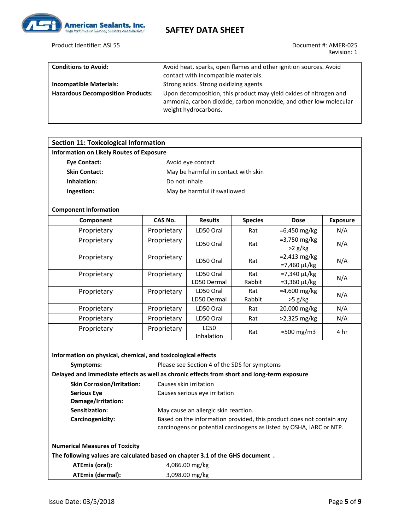

Product Identifier: ASI 55 Document #: AMER-025

Revision: 1

| <b>Conditions to Avoid:</b>              | Avoid heat, sparks, open flames and other ignition sources. Avoid                                                                                              |
|------------------------------------------|----------------------------------------------------------------------------------------------------------------------------------------------------------------|
|                                          | contact with incompatible materials.                                                                                                                           |
| <b>Incompatible Materials:</b>           | Strong acids. Strong oxidizing agents.                                                                                                                         |
| <b>Hazardous Decomposition Products:</b> | Upon decomposition, this product may yield oxides of nitrogen and<br>ammonia, carbon dioxide, carbon monoxide, and other low molecular<br>weight hydrocarbons. |

| <b>Section 11: Toxicological Information</b>    |                                     |                           |                |                                       |                 |  |  |
|-------------------------------------------------|-------------------------------------|---------------------------|----------------|---------------------------------------|-----------------|--|--|
| <b>Information on Likely Routes of Exposure</b> |                                     |                           |                |                                       |                 |  |  |
| <b>Eye Contact:</b>                             | Avoid eye contact                   |                           |                |                                       |                 |  |  |
| <b>Skin Contact:</b>                            | May be harmful in contact with skin |                           |                |                                       |                 |  |  |
| Inhalation:                                     | Do not inhale                       |                           |                |                                       |                 |  |  |
| Ingestion:                                      | May be harmful if swallowed         |                           |                |                                       |                 |  |  |
| <b>Component Information</b>                    |                                     |                           |                |                                       |                 |  |  |
| Component                                       | CAS No.                             | <b>Results</b>            | <b>Species</b> | <b>Dose</b>                           | <b>Exposure</b> |  |  |
| Proprietary                                     | Proprietary                         | LD50 Oral                 | Rat            | $=6,450 \,\mathrm{mg/kg}$             | N/A             |  |  |
| Proprietary                                     | Proprietary                         | LD50 Oral                 | Rat            | $= 3,750$ mg/kg<br>$>2$ g/kg          | N/A             |  |  |
| Proprietary                                     | Proprietary                         | LD50 Oral                 | Rat            | $= 2,413$ mg/kg<br>$= 7,460 \mu L/kg$ | N/A             |  |  |
| Proprietary                                     | Proprietary                         | LD50 Oral                 | Rat            | $= 7,340 \mu L/kg$                    | N/A             |  |  |
|                                                 |                                     | LD50 Dermal               | Rabbit         | $= 3,360 \mu L/kg$                    |                 |  |  |
| Proprietary                                     | Proprietary                         | LD50 Oral<br>LD50 Dermal  | Rat<br>Rabbit  | $=4,600$ mg/kg<br>$>5$ g/kg           | N/A             |  |  |
| Proprietary                                     | Proprietary                         | LD50 Oral                 | Rat            | 20,000 mg/kg                          | N/A             |  |  |
| Proprietary                                     | Proprietary                         | LD50 Oral                 | Rat            | $>2,325$ mg/kg                        | N/A             |  |  |
| Proprietary                                     | Proprietary                         | <b>LC50</b><br>Inhalation | Rat            | $=500$ mg/m3                          | 4 hr            |  |  |

| Information on physical, chemical, and toxicological effects                  |                                                                                                                                              |  |  |  |  |  |  |
|-------------------------------------------------------------------------------|----------------------------------------------------------------------------------------------------------------------------------------------|--|--|--|--|--|--|
| Symptoms:                                                                     | Please see Section 4 of the SDS for symptoms                                                                                                 |  |  |  |  |  |  |
|                                                                               | Delayed and immediate effects as well as chronic effects from short and long-term exposure                                                   |  |  |  |  |  |  |
| <b>Skin Corrosion/Irritation:</b>                                             | Causes skin irritation                                                                                                                       |  |  |  |  |  |  |
| <b>Serious Eve</b>                                                            | Causes serious eye irritation                                                                                                                |  |  |  |  |  |  |
| Damage/Irritation:                                                            |                                                                                                                                              |  |  |  |  |  |  |
| Sensitization:                                                                | May cause an allergic skin reaction.                                                                                                         |  |  |  |  |  |  |
| Carcinogenicity:                                                              | Based on the information provided, this product does not contain any<br>carcinogens or potential carcinogens as listed by OSHA, IARC or NTP. |  |  |  |  |  |  |
| <b>Numerical Measures of Toxicity</b>                                         |                                                                                                                                              |  |  |  |  |  |  |
| The following values are calculated based on chapter 3.1 of the GHS document. |                                                                                                                                              |  |  |  |  |  |  |
| ATEmix (oral):                                                                | 4,086.00 mg/kg                                                                                                                               |  |  |  |  |  |  |
| ATEmix (dermal):                                                              | 3,098.00 mg/kg                                                                                                                               |  |  |  |  |  |  |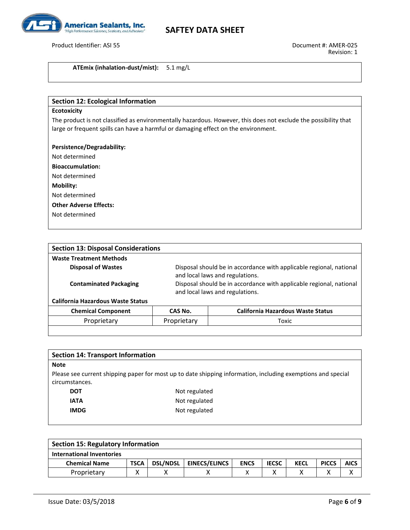

Product Identifier: ASI 55 Document #: AMER-025

**ATEmix (inhalation-dust/mist):** 5.1 mg/L

### **Section 12: Ecological Information**

#### **Ecotoxicity**

The product is not classified as environmentally hazardous. However, this does not exclude the possibility that large or frequent spills can have a harmful or damaging effect on the environment.

### **Persistence/Degradability:**

Not determined

**Bioaccumulation:**

Not determined

**Mobility:**

Not determined

**Other Adverse Effects:**

Not determined

| <b>Section 13: Disposal Considerations</b>                                                                                                                                                                                                                                     |             |                                          |  |  |  |
|--------------------------------------------------------------------------------------------------------------------------------------------------------------------------------------------------------------------------------------------------------------------------------|-------------|------------------------------------------|--|--|--|
| <b>Waste Treatment Methods</b>                                                                                                                                                                                                                                                 |             |                                          |  |  |  |
| <b>Disposal of Wastes</b><br>Disposal should be in accordance with applicable regional, national<br>and local laws and regulations.<br>Disposal should be in accordance with applicable regional, national<br><b>Contaminated Packaging</b><br>and local laws and regulations. |             |                                          |  |  |  |
| <b>California Hazardous Waste Status</b>                                                                                                                                                                                                                                       |             |                                          |  |  |  |
| <b>Chemical Component</b>                                                                                                                                                                                                                                                      | CAS No.     | <b>California Hazardous Waste Status</b> |  |  |  |
| Proprietary                                                                                                                                                                                                                                                                    | Proprietary | Toxic                                    |  |  |  |

| <b>Section 14: Transport Information</b> |                                                                                                              |
|------------------------------------------|--------------------------------------------------------------------------------------------------------------|
| <b>Note</b>                              |                                                                                                              |
| circumstances.                           | Please see current shipping paper for most up to date shipping information, including exemptions and special |
| <b>DOT</b>                               | Not regulated                                                                                                |
| <b>IATA</b>                              | Not regulated                                                                                                |
| <b>IMDG</b>                              | Not regulated                                                                                                |
|                                          |                                                                                                              |

| <b>Section 15: Regulatory Information</b> |             |                 |                      |             |              |             |              |             |
|-------------------------------------------|-------------|-----------------|----------------------|-------------|--------------|-------------|--------------|-------------|
| <b>International Inventories</b>          |             |                 |                      |             |              |             |              |             |
| <b>Chemical Name</b>                      | <b>TSCA</b> | <b>DSL/NDSL</b> | <b>EINECS/ELINCS</b> | <b>ENCS</b> | <b>IECSC</b> | <b>KECL</b> | <b>PICCS</b> | <b>AICS</b> |
| Proprietary                               |             |                 |                      |             |              |             |              |             |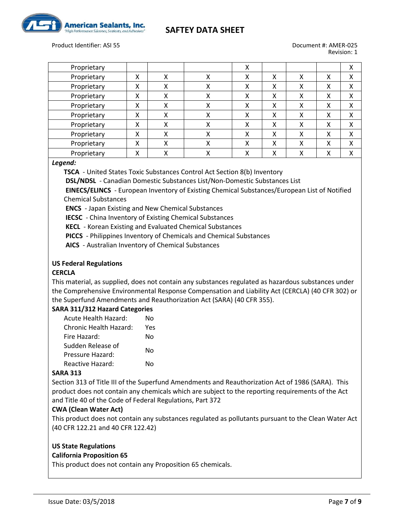



**American Sealants, Inc.** 

Revision: 1

| Proprietary |   |        |        | л |   |   |              | х |
|-------------|---|--------|--------|---|---|---|--------------|---|
| Proprietary | x | x      | x      | χ | χ | χ | χ            | χ |
| Proprietary | x | x      | л      | x | χ | χ |              | χ |
| Proprietary | Χ | Χ      | Χ      | x | Χ | Χ | $\checkmark$ | χ |
| Proprietary | x | x      | ∧      | x | χ | χ |              | χ |
| Proprietary | x | x      | χ      | Χ | х | χ |              | х |
| Proprietary | x | x      | x      | χ | χ | χ | χ            | χ |
| Proprietary | х | v<br>⋏ | v<br>∧ | x | χ | χ | х            | х |
| Proprietary | X | χ      | x      | χ | χ | χ | $\check{ }$  | χ |
| Proprietary | Χ |        |        | л | x |   |              | v |

#### *Legend:*

**TSCA** - United States Toxic Substances Control Act Section 8(b) Inventory

**DSL/NDSL** - Canadian Domestic Substances List/Non-Domestic Substances List

**EINECS/ELINCS** - European Inventory of Existing Chemical Substances/European List of Notified Chemical Substances

**ENCS** - Japan Existing and New Chemical Substances

**IECSC** - China Inventory of Existing Chemical Substances

**KECL** - Korean Existing and Evaluated Chemical Substances

**PICCS** - Philippines Inventory of Chemicals and Chemical Substances

**AICS** - Australian Inventory of Chemical Substances

### **US Federal Regulations**

### **CERCLA**

This material, as supplied, does not contain any substances regulated as hazardous substances under the Comprehensive Environmental Response Compensation and Liability Act (CERCLA) (40 CFR 302) or the Superfund Amendments and Reauthorization Act (SARA) (40 CFR 355).

### **SARA 311/312 Hazard Categories**

| N٥  |
|-----|
| Υρς |
| N٥  |
| N٥  |
|     |
| N٥  |
|     |

### **SARA 313**

Section 313 of Title III of the Superfund Amendments and Reauthorization Act of 1986 (SARA). This product does not contain any chemicals which are subject to the reporting requirements of the Act and Title 40 of the Code of Federal Regulations, Part 372

#### **CWA (Clean Water Act)**

This product does not contain any substances regulated as pollutants pursuant to the Clean Water Act (40 CFR 122.21 and 40 CFR 122.42)

#### **US State Regulations**

### **California Proposition 65**

This product does not contain any Proposition 65 chemicals.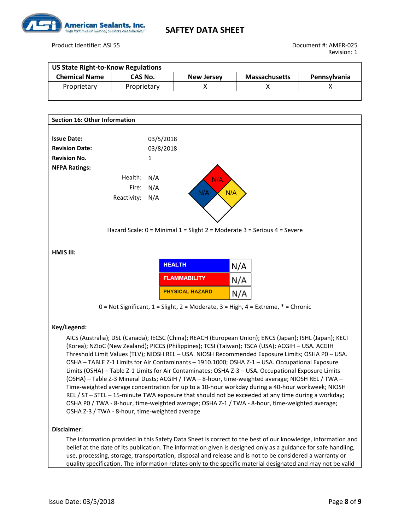

Product Identifier: ASI 55 Document #: AMER-025

| <b>US State Right-to-Know Regulations</b> |             |                   |                      |                     |  |  |  |  |
|-------------------------------------------|-------------|-------------------|----------------------|---------------------|--|--|--|--|
| <b>Chemical Name</b>                      | CAS No.     | <b>New Jersey</b> | <b>Massachusetts</b> | <b>Pennsylvania</b> |  |  |  |  |
| Proprietary                               | Proprietary |                   |                      |                     |  |  |  |  |
|                                           |             |                   |                      |                     |  |  |  |  |



quality specification. The information relates only to the specific material designated and may not be valid